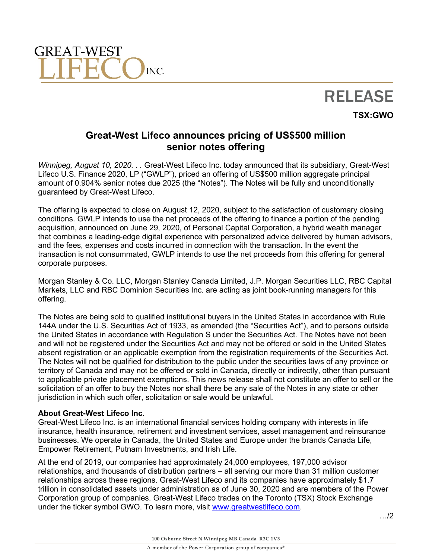



**TSX:GWO**

## **Great-West Lifeco announces pricing of US\$500 million senior notes offering**

*Winnipeg, August 10, 2020. . .* Great-West Lifeco Inc. today announced that its subsidiary, Great-West Lifeco U.S. Finance 2020, LP ("GWLP"), priced an offering of US\$500 million aggregate principal amount of 0.904% senior notes due 2025 (the "Notes"). The Notes will be fully and unconditionally guaranteed by Great-West Lifeco.

The offering is expected to close on August 12, 2020, subject to the satisfaction of customary closing conditions. GWLP intends to use the net proceeds of the offering to finance a portion of the pending acquisition, announced on June 29, 2020, of Personal Capital Corporation, a hybrid wealth manager that combines a leading-edge digital experience with personalized advice delivered by human advisors, and the fees, expenses and costs incurred in connection with the transaction. In the event the transaction is not consummated, GWLP intends to use the net proceeds from this offering for general corporate purposes.

Morgan Stanley & Co. LLC, Morgan Stanley Canada Limited, J.P. Morgan Securities LLC, RBC Capital Markets, LLC and RBC Dominion Securities Inc. are acting as joint book-running managers for this offering.

The Notes are being sold to qualified institutional buyers in the United States in accordance with Rule 144A under the U.S. Securities Act of 1933, as amended (the "Securities Act"), and to persons outside the United States in accordance with Regulation S under the Securities Act. The Notes have not been and will not be registered under the Securities Act and may not be offered or sold in the United States absent registration or an applicable exemption from the registration requirements of the Securities Act. The Notes will not be qualified for distribution to the public under the securities laws of any province or territory of Canada and may not be offered or sold in Canada, directly or indirectly, other than pursuant to applicable private placement exemptions. This news release shall not constitute an offer to sell or the solicitation of an offer to buy the Notes nor shall there be any sale of the Notes in any state or other jurisdiction in which such offer, solicitation or sale would be unlawful.

## **About Great-West Lifeco Inc.**

Great-West Lifeco Inc. is an international financial services holding company with interests in life insurance, health insurance, retirement and investment services, asset management and reinsurance businesses. We operate in Canada, the United States and Europe under the brands Canada Life, Empower Retirement, Putnam Investments, and Irish Life.

At the end of 2019, our companies had approximately 24,000 employees, 197,000 advisor relationships, and thousands of distribution partners – all serving our more than 31 million customer relationships across these regions. Great-West Lifeco and its companies have approximately \$1.7 trillion in consolidated assets under administration as of June 30, 2020 and are members of the Power Corporation group of companies. Great-West Lifeco trades on the Toronto (TSX) Stock Exchange under the ticker symbol GWO. To learn more, visit [www.greatwestlifeco.com.](http://www.greatwestlifeco.com/)

…/2